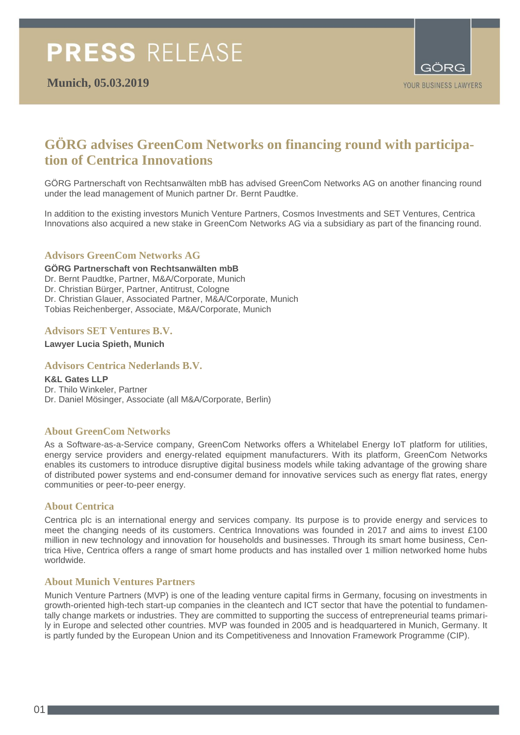

# **GÖRG advises GreenCom Networks on financing round with participation of Centrica Innovations**

GÖRG Partnerschaft von Rechtsanwälten mbB has advised GreenCom Networks AG on another financing round under the lead management of Munich partner Dr. Bernt Paudtke.

In addition to the existing investors Munich Venture Partners, Cosmos Investments and SET Ventures, Centrica Innovations also acquired a new stake in GreenCom Networks AG via a subsidiary as part of the financing round.

#### **Advisors GreenCom Networks AG**

**GÖRG Partnerschaft von Rechtsanwälten mbB** Dr. Bernt Paudtke, Partner, M&A/Corporate, Munich Dr. Christian Bürger, Partner, Antitrust, Cologne Dr. Christian Glauer, Associated Partner, M&A/Corporate, Munich Tobias Reichenberger, Associate, M&A/Corporate, Munich

#### **Advisors SET Ventures B.V.**

**Lawyer Lucia Spieth, Munich**

#### **Advisors Centrica Nederlands B.V.**

**K&L Gates LLP** Dr. Thilo Winkeler, Partner Dr. Daniel Mösinger, Associate (all M&A/Corporate, Berlin)

#### **About GreenCom Networks**

As a Software-as-a-Service company, GreenCom Networks offers a Whitelabel Energy IoT platform for utilities, energy service providers and energy-related equipment manufacturers. With its platform, GreenCom Networks enables its customers to introduce disruptive digital business models while taking advantage of the growing share of distributed power systems and end-consumer demand for innovative services such as energy flat rates, energy communities or peer-to-peer energy.

#### **About Centrica**

Centrica plc is an international energy and services company. Its purpose is to provide energy and services to meet the changing needs of its customers. Centrica Innovations was founded in 2017 and aims to invest £100 million in new technology and innovation for households and businesses. Through its smart home business, Centrica Hive, Centrica offers a range of smart home products and has installed over 1 million networked home hubs worldwide.

#### **About Munich Ventures Partners**

Munich Venture Partners (MVP) is one of the leading venture capital firms in Germany, focusing on investments in growth-oriented high-tech start-up companies in the cleantech and ICT sector that have the potential to fundamentally change markets or industries. They are committed to supporting the success of entrepreneurial teams primarily in Europe and selected other countries. MVP was founded in 2005 and is headquartered in Munich, Germany. It is partly funded by the European Union and its Competitiveness and Innovation Framework Programme (CIP).